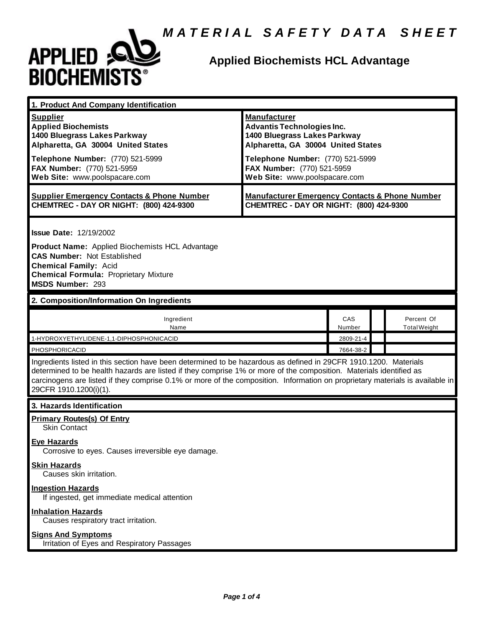

| 1. Product And Company Identification                                                                                                                                                                                                                                                                                                                                                             |                                                                                                                                                                                                                                   |               |  |                                   |
|---------------------------------------------------------------------------------------------------------------------------------------------------------------------------------------------------------------------------------------------------------------------------------------------------------------------------------------------------------------------------------------------------|-----------------------------------------------------------------------------------------------------------------------------------------------------------------------------------------------------------------------------------|---------------|--|-----------------------------------|
| <b>Supplier</b><br><b>Applied Biochemists</b><br>1400 Bluegrass Lakes Parkway<br>Alpharetta, GA 30004 United States<br>Telephone Number: (770) 521-5999<br>FAX Number: (770) 521-5959<br>Web Site: www.poolspacare.com                                                                                                                                                                            | <b>Manufacturer</b><br><b>Advantis Technologies Inc.</b><br>1400 Bluegrass Lakes Parkway<br>Alpharetta, GA 30004 United States<br>Telephone Number: (770) 521-5999<br>FAX Number: (770) 521-5959<br>Web Site: www.poolspacare.com |               |  |                                   |
| <b>Supplier Emergency Contacts &amp; Phone Number</b><br><b>CHEMTREC - DAY OR NIGHT: (800) 424-9300</b>                                                                                                                                                                                                                                                                                           | <b>Manufacturer Emergency Contacts &amp; Phone Number</b><br>CHEMTREC - DAY OR NIGHT: (800) 424-9300                                                                                                                              |               |  |                                   |
| <b>Issue Date: 12/19/2002</b><br>Product Name: Applied Biochemists HCL Advantage<br><b>CAS Number: Not Established</b><br><b>Chemical Family: Acid</b><br><b>Chemical Formula: Proprietary Mixture</b><br>MSDS Number: 293                                                                                                                                                                        |                                                                                                                                                                                                                                   |               |  |                                   |
| 2. Composition/Information On Ingredients                                                                                                                                                                                                                                                                                                                                                         |                                                                                                                                                                                                                                   |               |  |                                   |
| Ingredient<br>Name                                                                                                                                                                                                                                                                                                                                                                                |                                                                                                                                                                                                                                   | CAS<br>Number |  | Percent Of<br><b>Total Weight</b> |
| 1-HYDROXYETHYLIDENE-1,1-DIPHOSPHONICACID                                                                                                                                                                                                                                                                                                                                                          |                                                                                                                                                                                                                                   | 2809-21-4     |  |                                   |
| 7664-38-2<br>PHOSPHORICACID                                                                                                                                                                                                                                                                                                                                                                       |                                                                                                                                                                                                                                   |               |  |                                   |
| Ingredients listed in this section have been determined to be hazardous as defined in 29CFR 1910.1200. Materials<br>determined to be health hazards are listed if they comprise 1% or more of the composition. Materials identified as<br>carcinogens are listed if they comprise 0.1% or more of the composition. Information on proprietary materials is available in<br>29CFR 1910.1200(i)(1). |                                                                                                                                                                                                                                   |               |  |                                   |
| 3. Hazards Identification                                                                                                                                                                                                                                                                                                                                                                         |                                                                                                                                                                                                                                   |               |  |                                   |
| <b>Primary Routes(s) Of Entry</b><br><b>Skin Contact</b>                                                                                                                                                                                                                                                                                                                                          |                                                                                                                                                                                                                                   |               |  |                                   |
| <b>Eye Hazards</b><br>Corrosive to eyes. Causes irreversible eye damage.                                                                                                                                                                                                                                                                                                                          |                                                                                                                                                                                                                                   |               |  |                                   |
| <b>Skin Hazards</b><br>Causes skin irritation.                                                                                                                                                                                                                                                                                                                                                    |                                                                                                                                                                                                                                   |               |  |                                   |
| <b>Ingestion Hazards</b><br>If ingested, get immediate medical attention                                                                                                                                                                                                                                                                                                                          |                                                                                                                                                                                                                                   |               |  |                                   |
| <b>Inhalation Hazards</b><br>Causes respiratory tract irritation.                                                                                                                                                                                                                                                                                                                                 |                                                                                                                                                                                                                                   |               |  |                                   |
| <b>Signs And Symptoms</b><br>Irritation of Eyes and Respiratory Passages                                                                                                                                                                                                                                                                                                                          |                                                                                                                                                                                                                                   |               |  |                                   |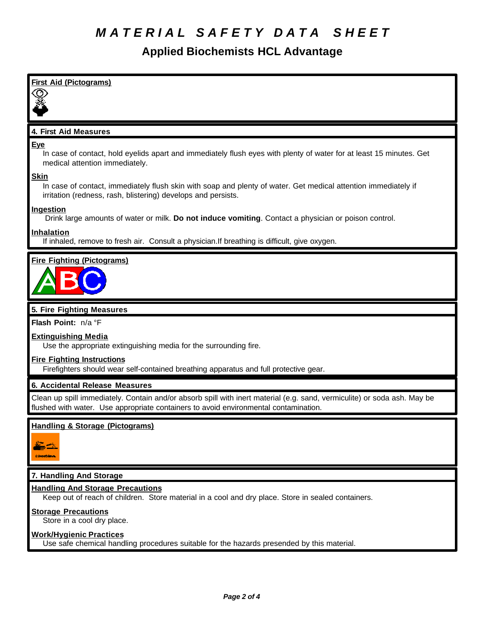## *M A T E R I A L S A F E T Y D A T A S H E E T*

| <b>First Aid (Pictograms)</b>                                                                                                                                                                                    |
|------------------------------------------------------------------------------------------------------------------------------------------------------------------------------------------------------------------|
|                                                                                                                                                                                                                  |
|                                                                                                                                                                                                                  |
|                                                                                                                                                                                                                  |
| 4. First Aid Measures                                                                                                                                                                                            |
| <u>Eye</u><br>In case of contact, hold eyelids apart and immediately flush eyes with plenty of water for at least 15 minutes. Get<br>medical attention immediately.                                              |
| <u>Skin</u><br>In case of contact, immediately flush skin with soap and plenty of water. Get medical attention immediately if<br>irritation (redness, rash, blistering) develops and persists.                   |
| <u>Ingestion</u><br>Drink large amounts of water or milk. Do not induce vomiting. Contact a physician or poison control.                                                                                         |
| Inhalation<br>If inhaled, remove to fresh air. Consult a physician. If breathing is difficult, give oxygen.                                                                                                      |
| <b>Fire Fighting (Pictograms)</b>                                                                                                                                                                                |
| 5. Fire Fighting Measures                                                                                                                                                                                        |
| Flash Point: n/a °F                                                                                                                                                                                              |
| <b>Extinguishing Media</b><br>Use the appropriate extinguishing media for the surrounding fire.                                                                                                                  |
| <b>Fire Fighting Instructions</b><br>Firefighters should wear self-contained breathing apparatus and full protective gear.                                                                                       |
| 6. Accidental Release Measures                                                                                                                                                                                   |
| Clean up spill immediately. Contain and/or absorb spill with inert material (e.g. sand, vermiculite) or soda ash. May be<br>flushed with water. Use appropriate containers to avoid environmental contamination. |
| <b>Handling &amp; Storage (Pictograms)</b>                                                                                                                                                                       |
|                                                                                                                                                                                                                  |
| 7. Handling And Storage                                                                                                                                                                                          |
| <b>Handling And Storage Precautions</b><br>Keep out of reach of children. Store material in a cool and dry place. Store in sealed containers.                                                                    |
| <b>Storage Precautions</b><br>Store in a cool dry place.                                                                                                                                                         |
| <u>Work/Hygienic Practices</u><br>Use safe chemical handling procedures suitable for the hazards presended by this material.                                                                                     |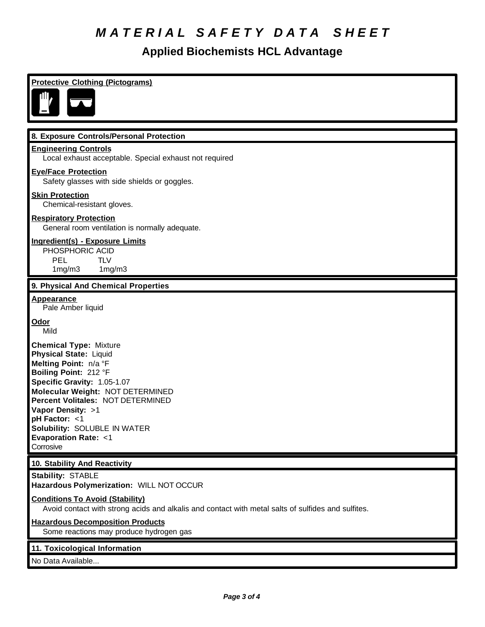# *M A T E R I A L S A F E T Y D A T A S H E E T*

| <b>Protective Clothing (Pictograms)</b>                                                                                                                                                                                                                                                                                                       |
|-----------------------------------------------------------------------------------------------------------------------------------------------------------------------------------------------------------------------------------------------------------------------------------------------------------------------------------------------|
|                                                                                                                                                                                                                                                                                                                                               |
| 8. Exposure Controls/Personal Protection                                                                                                                                                                                                                                                                                                      |
| <b>Engineering Controls</b><br>Local exhaust acceptable. Special exhaust not required                                                                                                                                                                                                                                                         |
| <b>Eye/Face Protection</b><br>Safety glasses with side shields or goggles.                                                                                                                                                                                                                                                                    |
| <b>Skin Protection</b><br>Chemical-resistant gloves.                                                                                                                                                                                                                                                                                          |
| <b>Respiratory Protection</b><br>General room ventilation is normally adequate.                                                                                                                                                                                                                                                               |
| <b>Ingredient(s) - Exposure Limits</b><br>PHOSPHORIC ACID<br><b>PEL</b><br><b>TLV</b><br>1mg/m3<br>1mg/m3                                                                                                                                                                                                                                     |
| 9. Physical And Chemical Properties                                                                                                                                                                                                                                                                                                           |
| <b>Appearance</b><br>Pale Amber liquid                                                                                                                                                                                                                                                                                                        |
| <u>Odor</u><br>Mild                                                                                                                                                                                                                                                                                                                           |
| <b>Chemical Type: Mixture</b><br><b>Physical State: Liquid</b><br>Melting Point: n/a °F<br>Boiling Point: 212 °F<br>Specific Gravity: 1.05-1.07<br>Molecular Weight: NOT DETERMINED<br>Percent Volitales: NOT DETERMINED<br>Vapor Density: >1<br>pH Factor: <1<br>Solubility: SOLUBLE IN WATER<br><b>Evaporation Rate: &lt;1</b><br>Corrosive |
| 10. Stability And Reactivity                                                                                                                                                                                                                                                                                                                  |
| <b>Stability: STABLE</b><br>Hazardous Polymerization: WILL NOT OCCUR                                                                                                                                                                                                                                                                          |
| <b>Conditions To Avoid (Stability)</b><br>Avoid contact with strong acids and alkalis and contact with metal salts of sulfides and sulfites.                                                                                                                                                                                                  |
| <b>Hazardous Decomposition Products</b><br>Some reactions may produce hydrogen gas                                                                                                                                                                                                                                                            |
| 11. Toxicological Information<br>No Data Available                                                                                                                                                                                                                                                                                            |